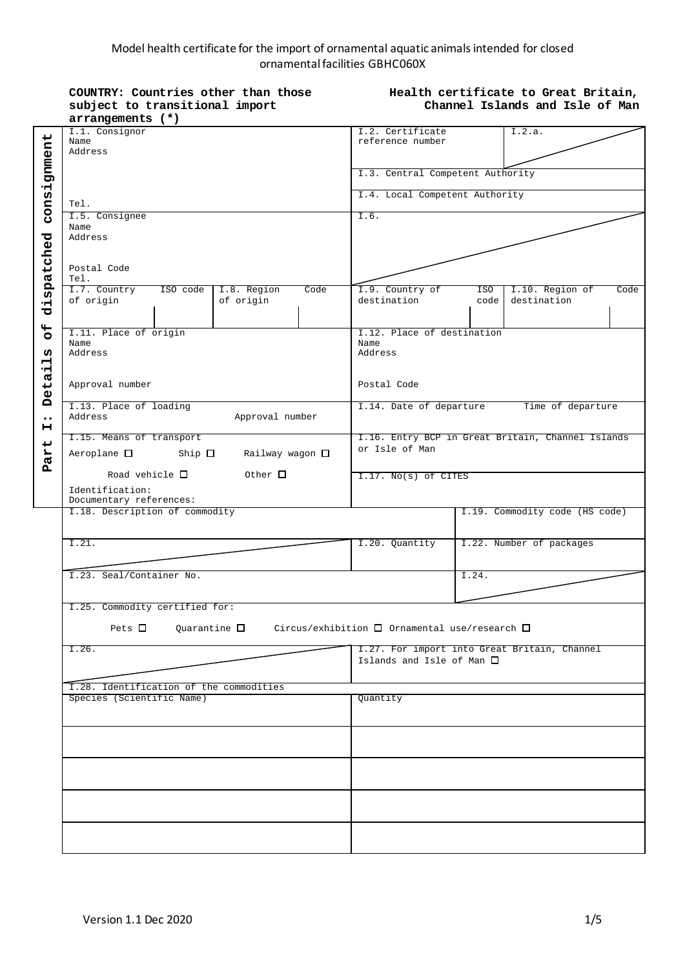## Model health certificate for the import of ornamental aquatic animals intended for closed ornamental facilities GBHC060X

|                                                                                               | COUNTRY: Countries other than those<br>subject to transitional import<br>arrangements (*)                                                |                                  |                                      | Health certificate to Great Britain,<br>Channel Islands and Isle of Man |  |  |
|-----------------------------------------------------------------------------------------------|------------------------------------------------------------------------------------------------------------------------------------------|----------------------------------|--------------------------------------|-------------------------------------------------------------------------|--|--|
| consignment<br>dispatched<br>44<br>$\circ$<br>ທ<br>븝<br>Deta<br>$\bullet\bullet$<br>н<br>Part | I.1. Consignor<br>Name<br>Address                                                                                                        |                                  | I.2. Certificate<br>reference number | I.2.a.                                                                  |  |  |
|                                                                                               |                                                                                                                                          |                                  | I.3. Central Competent Authority     |                                                                         |  |  |
|                                                                                               | Tel.                                                                                                                                     |                                  | I.4. Local Competent Authority       |                                                                         |  |  |
|                                                                                               | I.5. Consignee<br>Name<br>Address                                                                                                        |                                  |                                      | I.6.                                                                    |  |  |
|                                                                                               | Postal Code<br>Tel.                                                                                                                      |                                  |                                      |                                                                         |  |  |
|                                                                                               | I.7. Country<br>ISO code<br>of origin                                                                                                    | I.8. Region<br>Code<br>of origin | I.9. Country of<br>destination       | I.10. Region of<br>Code<br>ISO <sub>1</sub><br>destination<br>code      |  |  |
|                                                                                               | I.11. Place of origin<br>Name<br>Address                                                                                                 |                                  | Name<br>Address                      | I.12. Place of destination                                              |  |  |
|                                                                                               | Approval number                                                                                                                          |                                  | Postal Code                          |                                                                         |  |  |
|                                                                                               | I.13. Place of loading<br>Address                                                                                                        | Approval number                  |                                      | I.14. Date of departure<br>Time of departure                            |  |  |
|                                                                                               | I.15. Means of transport<br>Aeroplane $\square$<br>$Ship$ $\square$<br>Railway wagon □                                                   |                                  | or Isle of Man                       | I.16. Entry BCP in Great Britain, Channel Islands                       |  |  |
|                                                                                               | Road vehicle $\square$<br>Identification:<br>Documentary references:                                                                     | Other $\Box$                     | I.17. No(s) of CITES                 |                                                                         |  |  |
|                                                                                               | I.18. Description of commodity                                                                                                           |                                  |                                      | I.19. Commodity code (HS code)                                          |  |  |
|                                                                                               | I.21.                                                                                                                                    |                                  | I.20. Quantity                       | I.22. Number of packages                                                |  |  |
|                                                                                               | I.23. Seal/Container No.                                                                                                                 |                                  |                                      | I.24.                                                                   |  |  |
|                                                                                               | I.25. Commodity certified for:<br>Pets $\Box$<br>$Quarantine$ $\square$<br>Circus/exhibition $\square$ Ornamental use/research $\square$ |                                  |                                      |                                                                         |  |  |
|                                                                                               | I.26.                                                                                                                                    |                                  | Islands and Isle of Man $\Box$       | I.27. For import into Great Britain, Channel                            |  |  |
|                                                                                               | I.28. Identification of the commodities<br>Species (Scientific Name)                                                                     |                                  | Quantity                             |                                                                         |  |  |
|                                                                                               |                                                                                                                                          |                                  |                                      |                                                                         |  |  |
|                                                                                               |                                                                                                                                          |                                  |                                      |                                                                         |  |  |
|                                                                                               |                                                                                                                                          |                                  |                                      |                                                                         |  |  |
|                                                                                               |                                                                                                                                          |                                  |                                      |                                                                         |  |  |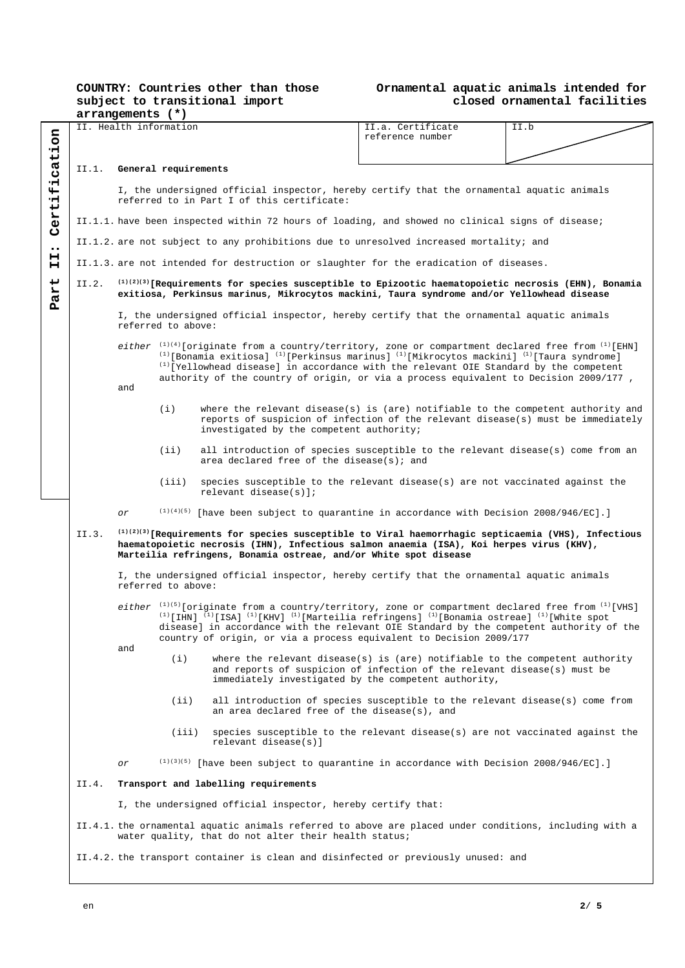|                  | COUNTRY: Countries other than those |  |  |  |  |  |
|------------------|-------------------------------------|--|--|--|--|--|
|                  | subject to transitional import      |  |  |  |  |  |
| arrangamanta (*) |                                     |  |  |  |  |  |

### **Ornamental aquatic animals intended for closed ornamental facilities**

|                                                                                                                                                                                                                                                                                                                                                                                                                                                     | arrangements (*)                                                                                                                                                                                                                                                                |                                                                                                                                                                                                                                                                         |                                                                                                                                                                                                                                                                                                                                                                                                                                                   |                                                                                                                                                                                                                  |                                       |      |  |  |
|-----------------------------------------------------------------------------------------------------------------------------------------------------------------------------------------------------------------------------------------------------------------------------------------------------------------------------------------------------------------------------------------------------------------------------------------------------|---------------------------------------------------------------------------------------------------------------------------------------------------------------------------------------------------------------------------------------------------------------------------------|-------------------------------------------------------------------------------------------------------------------------------------------------------------------------------------------------------------------------------------------------------------------------|---------------------------------------------------------------------------------------------------------------------------------------------------------------------------------------------------------------------------------------------------------------------------------------------------------------------------------------------------------------------------------------------------------------------------------------------------|------------------------------------------------------------------------------------------------------------------------------------------------------------------------------------------------------------------|---------------------------------------|------|--|--|
| 6 <sub>0</sub><br>٠H.                                                                                                                                                                                                                                                                                                                                                                                                                               |                                                                                                                                                                                                                                                                                 | II. Health information                                                                                                                                                                                                                                                  |                                                                                                                                                                                                                                                                                                                                                                                                                                                   |                                                                                                                                                                                                                  | II.a. Certificate<br>reference number | II.b |  |  |
| cat:                                                                                                                                                                                                                                                                                                                                                                                                                                                | II.1.                                                                                                                                                                                                                                                                           | General requirements                                                                                                                                                                                                                                                    |                                                                                                                                                                                                                                                                                                                                                                                                                                                   |                                                                                                                                                                                                                  |                                       |      |  |  |
| ۰H<br>Ψİ<br>٠H                                                                                                                                                                                                                                                                                                                                                                                                                                      |                                                                                                                                                                                                                                                                                 | I, the undersigned official inspector, hereby certify that the ornamental aquatic animals<br>referred to in Part I of this certificate:                                                                                                                                 |                                                                                                                                                                                                                                                                                                                                                                                                                                                   |                                                                                                                                                                                                                  |                                       |      |  |  |
| Cert:                                                                                                                                                                                                                                                                                                                                                                                                                                               |                                                                                                                                                                                                                                                                                 |                                                                                                                                                                                                                                                                         |                                                                                                                                                                                                                                                                                                                                                                                                                                                   | II.1.1. have been inspected within 72 hours of loading, and showed no clinical signs of disease;                                                                                                                 |                                       |      |  |  |
| II.1.2. are not subject to any prohibitions due to unresolved increased mortality; and<br>$\bullet\bullet$                                                                                                                                                                                                                                                                                                                                          |                                                                                                                                                                                                                                                                                 |                                                                                                                                                                                                                                                                         |                                                                                                                                                                                                                                                                                                                                                                                                                                                   |                                                                                                                                                                                                                  |                                       |      |  |  |
| н<br>н                                                                                                                                                                                                                                                                                                                                                                                                                                              |                                                                                                                                                                                                                                                                                 |                                                                                                                                                                                                                                                                         | II.1.3. are not intended for destruction or slaughter for the eradication of diseases.                                                                                                                                                                                                                                                                                                                                                            |                                                                                                                                                                                                                  |                                       |      |  |  |
| ى<br><b>ER</b>                                                                                                                                                                                                                                                                                                                                                                                                                                      | II.2.                                                                                                                                                                                                                                                                           | $(1)(2)(3)$ [Requirements for species susceptible to Epizootic haematopoietic necrosis (EHN), Bonamia<br>exitiosa, Perkinsus marinus, Mikrocytos mackini, Taura syndrome and/or Yellowhead disease                                                                      |                                                                                                                                                                                                                                                                                                                                                                                                                                                   |                                                                                                                                                                                                                  |                                       |      |  |  |
| д<br>I, the undersigned official inspector, hereby certify that the ornamental aquatic animals<br>referred to above:                                                                                                                                                                                                                                                                                                                                |                                                                                                                                                                                                                                                                                 |                                                                                                                                                                                                                                                                         |                                                                                                                                                                                                                                                                                                                                                                                                                                                   |                                                                                                                                                                                                                  |                                       |      |  |  |
|                                                                                                                                                                                                                                                                                                                                                                                                                                                     |                                                                                                                                                                                                                                                                                 | and                                                                                                                                                                                                                                                                     | either $^{(1)(4)}$ [originate from a country/territory, zone or compartment declared free from $^{(1)}$ [EHN]<br><sup>(1)</sup> [Bonamia exitiosa] <sup>(1)</sup> [Perkinsus marinus] <sup>(1)</sup> [Mikrocytos mackini] <sup>(1)</sup> [Taura syndrome]<br>$^{(1)}$ [Yellowhead disease] in accordance with the relevant OIE Standard by the competent<br>authority of the country of origin, or via a process equivalent to Decision 2009/177, |                                                                                                                                                                                                                  |                                       |      |  |  |
|                                                                                                                                                                                                                                                                                                                                                                                                                                                     |                                                                                                                                                                                                                                                                                 |                                                                                                                                                                                                                                                                         | (i)                                                                                                                                                                                                                                                                                                                                                                                                                                               | where the relevant disease(s) is (are) notifiable to the competent authority and<br>reports of suspicion of infection of the relevant disease(s) must be immediately<br>investigated by the competent authority; |                                       |      |  |  |
|                                                                                                                                                                                                                                                                                                                                                                                                                                                     |                                                                                                                                                                                                                                                                                 |                                                                                                                                                                                                                                                                         | (iii)                                                                                                                                                                                                                                                                                                                                                                                                                                             | all introduction of species susceptible to the relevant disease(s) come from an<br>area declared free of the disease(s); and                                                                                     |                                       |      |  |  |
|                                                                                                                                                                                                                                                                                                                                                                                                                                                     |                                                                                                                                                                                                                                                                                 |                                                                                                                                                                                                                                                                         | (iii)                                                                                                                                                                                                                                                                                                                                                                                                                                             | species susceptible to the relevant disease(s) are not vaccinated against the<br>relevant disease $(s)$ ];                                                                                                       |                                       |      |  |  |
|                                                                                                                                                                                                                                                                                                                                                                                                                                                     |                                                                                                                                                                                                                                                                                 | $(1)(4)(5)$ [have been subject to quarantine in accordance with Decision 2008/946/EC].]<br>or                                                                                                                                                                           |                                                                                                                                                                                                                                                                                                                                                                                                                                                   |                                                                                                                                                                                                                  |                                       |      |  |  |
|                                                                                                                                                                                                                                                                                                                                                                                                                                                     | II.3.                                                                                                                                                                                                                                                                           | $^{(1)(2)(3)}$ [Requirements for species susceptible to Viral haemorrhagic septicaemia (VHS), Infectious<br>haematopoietic necrosis (IHN), Infectious salmon anaemia (ISA), Koi herpes virus (KHV),<br>Marteilia refringens, Bonamia ostreae, and/or White spot disease |                                                                                                                                                                                                                                                                                                                                                                                                                                                   |                                                                                                                                                                                                                  |                                       |      |  |  |
|                                                                                                                                                                                                                                                                                                                                                                                                                                                     | I, the undersigned official inspector, hereby certify that the ornamental aquatic animals<br>referred to above:                                                                                                                                                                 |                                                                                                                                                                                                                                                                         |                                                                                                                                                                                                                                                                                                                                                                                                                                                   |                                                                                                                                                                                                                  |                                       |      |  |  |
| either $^{(1)(5)}$ [originate from a country/territory, zone or compartment declared free from $^{(1)}$ [VHS]<br><sup>(1)</sup> [IHN] <sup>(1)</sup> [ISA] <sup>(1)</sup> [KHV] <sup>(1)</sup> [Marteilia refringens] <sup>(1)</sup> [Bonamia ostreae] <sup>(1)</sup> [White spot<br>disease] in accordance with the relevant OIE Standard by the competent authority of the<br>country of origin, or via a process equivalent to Decision 2009/177 |                                                                                                                                                                                                                                                                                 |                                                                                                                                                                                                                                                                         |                                                                                                                                                                                                                                                                                                                                                                                                                                                   |                                                                                                                                                                                                                  |                                       |      |  |  |
|                                                                                                                                                                                                                                                                                                                                                                                                                                                     |                                                                                                                                                                                                                                                                                 | and                                                                                                                                                                                                                                                                     | (i)                                                                                                                                                                                                                                                                                                                                                                                                                                               | where the relevant disease(s) is (are) notifiable to the competent authority<br>and reports of suspicion of infection of the relevant disease(s) must be<br>immediately investigated by the competent authority, |                                       |      |  |  |
|                                                                                                                                                                                                                                                                                                                                                                                                                                                     |                                                                                                                                                                                                                                                                                 |                                                                                                                                                                                                                                                                         | (iii)                                                                                                                                                                                                                                                                                                                                                                                                                                             | all introduction of species susceptible to the relevant disease(s) come from<br>an area declared free of the disease(s), and                                                                                     |                                       |      |  |  |
|                                                                                                                                                                                                                                                                                                                                                                                                                                                     |                                                                                                                                                                                                                                                                                 |                                                                                                                                                                                                                                                                         | (iii)                                                                                                                                                                                                                                                                                                                                                                                                                                             | species susceptible to the relevant disease(s) are not vaccinated against the<br>relevant disease(s)]                                                                                                            |                                       |      |  |  |
|                                                                                                                                                                                                                                                                                                                                                                                                                                                     |                                                                                                                                                                                                                                                                                 | or                                                                                                                                                                                                                                                                      |                                                                                                                                                                                                                                                                                                                                                                                                                                                   | $(1)(3)(5)$ [have been subject to quarantine in accordance with Decision 2008/946/EC].]                                                                                                                          |                                       |      |  |  |
|                                                                                                                                                                                                                                                                                                                                                                                                                                                     | II.4.<br>Transport and labelling requirements<br>I, the undersigned official inspector, hereby certify that:<br>II.4.1. the ornamental aquatic animals referred to above are placed under conditions, including with a<br>water quality, that do not alter their health status; |                                                                                                                                                                                                                                                                         |                                                                                                                                                                                                                                                                                                                                                                                                                                                   |                                                                                                                                                                                                                  |                                       |      |  |  |
|                                                                                                                                                                                                                                                                                                                                                                                                                                                     |                                                                                                                                                                                                                                                                                 |                                                                                                                                                                                                                                                                         |                                                                                                                                                                                                                                                                                                                                                                                                                                                   |                                                                                                                                                                                                                  |                                       |      |  |  |
|                                                                                                                                                                                                                                                                                                                                                                                                                                                     |                                                                                                                                                                                                                                                                                 |                                                                                                                                                                                                                                                                         |                                                                                                                                                                                                                                                                                                                                                                                                                                                   |                                                                                                                                                                                                                  |                                       |      |  |  |
| II.4.2. the transport container is clean and disinfected or previously unused: and                                                                                                                                                                                                                                                                                                                                                                  |                                                                                                                                                                                                                                                                                 |                                                                                                                                                                                                                                                                         |                                                                                                                                                                                                                                                                                                                                                                                                                                                   |                                                                                                                                                                                                                  |                                       |      |  |  |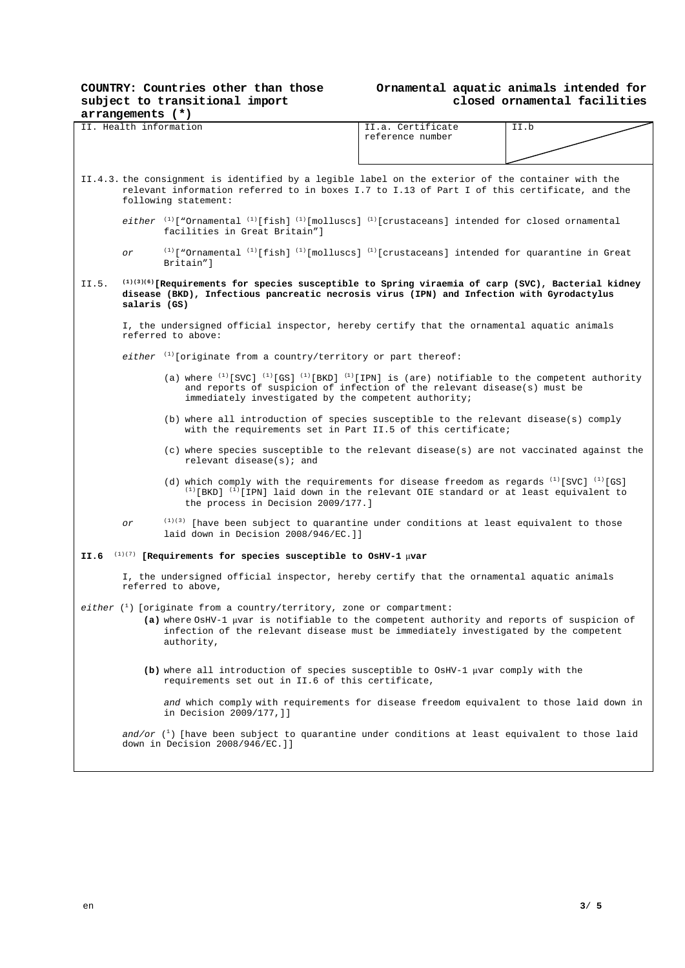# **COUNTRY: Countries other than those subject to transitional import**

### **Ornamental aquatic animals intended for closed ornamental facilities**

| arrangements (*) |                                                                                                                                       |                                                                                                                                                    |                   |      |  |  |  |
|------------------|---------------------------------------------------------------------------------------------------------------------------------------|----------------------------------------------------------------------------------------------------------------------------------------------------|-------------------|------|--|--|--|
|                  |                                                                                                                                       | II. Health information                                                                                                                             | II.a. Certificate | II.b |  |  |  |
|                  |                                                                                                                                       |                                                                                                                                                    | reference number  |      |  |  |  |
|                  |                                                                                                                                       |                                                                                                                                                    |                   |      |  |  |  |
|                  |                                                                                                                                       |                                                                                                                                                    |                   |      |  |  |  |
|                  |                                                                                                                                       |                                                                                                                                                    |                   |      |  |  |  |
|                  |                                                                                                                                       | II.4.3. the consignment is identified by a legible label on the exterior of the container with the                                                 |                   |      |  |  |  |
|                  |                                                                                                                                       | relevant information referred to in boxes I.7 to I.13 of Part I of this certificate, and the                                                       |                   |      |  |  |  |
|                  |                                                                                                                                       | following statement:                                                                                                                               |                   |      |  |  |  |
|                  |                                                                                                                                       |                                                                                                                                                    |                   |      |  |  |  |
|                  | either $(1)$ ["Ornamental $(1)$ [fish] $(1)$ [molluscs] $(1)$ [crustaceans] intended for closed ornamental                            |                                                                                                                                                    |                   |      |  |  |  |
|                  | facilities in Great Britain"]                                                                                                         |                                                                                                                                                    |                   |      |  |  |  |
|                  |                                                                                                                                       |                                                                                                                                                    |                   |      |  |  |  |
|                  | $(1)$ ["Ornamental $(1)$ [fish] $(1)$ [molluscs] $(1)$ [crustaceans] intended for quarantine in Great<br>or<br>Britain"]              |                                                                                                                                                    |                   |      |  |  |  |
|                  |                                                                                                                                       |                                                                                                                                                    |                   |      |  |  |  |
| II.5.            |                                                                                                                                       | (1)(3)(6) [Requirements for species susceptible to Spring viraemia of carp (SVC), Bacterial kidney                                                 |                   |      |  |  |  |
|                  |                                                                                                                                       | disease (BKD), Infectious pancreatic necrosis virus (IPN) and Infection with Gyrodactylus                                                          |                   |      |  |  |  |
|                  | salaris (GS)                                                                                                                          |                                                                                                                                                    |                   |      |  |  |  |
|                  |                                                                                                                                       |                                                                                                                                                    |                   |      |  |  |  |
|                  |                                                                                                                                       | I, the undersigned official inspector, hereby certify that the ornamental aquatic animals                                                          |                   |      |  |  |  |
|                  |                                                                                                                                       | referred to above:                                                                                                                                 |                   |      |  |  |  |
|                  |                                                                                                                                       |                                                                                                                                                    |                   |      |  |  |  |
|                  |                                                                                                                                       | either $(1)$ originate from a country/territory or part thereof:                                                                                   |                   |      |  |  |  |
|                  |                                                                                                                                       |                                                                                                                                                    |                   |      |  |  |  |
|                  |                                                                                                                                       | (a) where $(1)$ [SVC] $(1)$ [GS] $(1)$ [BKD] $(1)$ [IPN] is (are) notifiable to the competent authority                                            |                   |      |  |  |  |
|                  |                                                                                                                                       | and reports of suspicion of infection of the relevant disease(s) must be                                                                           |                   |      |  |  |  |
|                  |                                                                                                                                       | immediately investigated by the competent authority;                                                                                               |                   |      |  |  |  |
|                  |                                                                                                                                       |                                                                                                                                                    |                   |      |  |  |  |
|                  |                                                                                                                                       | (b) where all introduction of species susceptible to the relevant disease(s) comply<br>with the requirements set in Part II.5 of this certificate; |                   |      |  |  |  |
|                  |                                                                                                                                       |                                                                                                                                                    |                   |      |  |  |  |
|                  |                                                                                                                                       |                                                                                                                                                    |                   |      |  |  |  |
|                  | (c) where species susceptible to the relevant disease(s) are not vaccinated against the<br>relevant disease( $s$ ); and               |                                                                                                                                                    |                   |      |  |  |  |
|                  |                                                                                                                                       |                                                                                                                                                    |                   |      |  |  |  |
|                  | (d) which comply with the requirements for disease freedom as regards $(1)$ [SVC] $(1)$ [GS]                                          |                                                                                                                                                    |                   |      |  |  |  |
|                  |                                                                                                                                       | $^{(1)}$ [BKD] $^{(1)}$ [IPN] laid down in the relevant OIE standard or at least equivalent to                                                     |                   |      |  |  |  |
|                  |                                                                                                                                       | the process in Decision 2009/177.]                                                                                                                 |                   |      |  |  |  |
|                  |                                                                                                                                       |                                                                                                                                                    |                   |      |  |  |  |
|                  | оr                                                                                                                                    | $(1)(3)$ [have been subject to quarantine under conditions at least equivalent to those                                                            |                   |      |  |  |  |
|                  | laid down in Decision 2008/946/EC. ]]                                                                                                 |                                                                                                                                                    |                   |      |  |  |  |
|                  |                                                                                                                                       |                                                                                                                                                    |                   |      |  |  |  |
| II.6             |                                                                                                                                       | $(1)(7)$ [Requirements for species susceptible to OsHV-1 $\mu$ var                                                                                 |                   |      |  |  |  |
|                  |                                                                                                                                       |                                                                                                                                                    |                   |      |  |  |  |
|                  |                                                                                                                                       | I, the undersigned official inspector, hereby certify that the ornamental aquatic animals                                                          |                   |      |  |  |  |
|                  |                                                                                                                                       | referred to above,                                                                                                                                 |                   |      |  |  |  |
|                  |                                                                                                                                       |                                                                                                                                                    |                   |      |  |  |  |
|                  |                                                                                                                                       | either $\binom{1}{1}$ [originate from a country/territory, zone or compartment:                                                                    |                   |      |  |  |  |
|                  |                                                                                                                                       | (a) where OsHV-1 µvar is notifiable to the competent authority and reports of suspicion of                                                         |                   |      |  |  |  |
|                  |                                                                                                                                       | infection of the relevant disease must be immediately investigated by the competent                                                                |                   |      |  |  |  |
|                  |                                                                                                                                       | authority,                                                                                                                                         |                   |      |  |  |  |
|                  |                                                                                                                                       |                                                                                                                                                    |                   |      |  |  |  |
|                  |                                                                                                                                       |                                                                                                                                                    |                   |      |  |  |  |
|                  | (b) where all introduction of species susceptible to OsHV-1 µvar comply with the<br>requirements set out in II.6 of this certificate, |                                                                                                                                                    |                   |      |  |  |  |
|                  |                                                                                                                                       |                                                                                                                                                    |                   |      |  |  |  |
|                  | and which comply with requirements for disease freedom equivalent to those laid down in                                               |                                                                                                                                                    |                   |      |  |  |  |
|                  | in Decision 2009/177, ]]                                                                                                              |                                                                                                                                                    |                   |      |  |  |  |
|                  |                                                                                                                                       |                                                                                                                                                    |                   |      |  |  |  |
|                  |                                                                                                                                       | and/or $\binom{1}{1}$ [have been subject to quarantine under conditions at least equivalent to those laid                                          |                   |      |  |  |  |
|                  | down in Decision 2008/946/EC.]]                                                                                                       |                                                                                                                                                    |                   |      |  |  |  |
|                  |                                                                                                                                       |                                                                                                                                                    |                   |      |  |  |  |
|                  |                                                                                                                                       |                                                                                                                                                    |                   |      |  |  |  |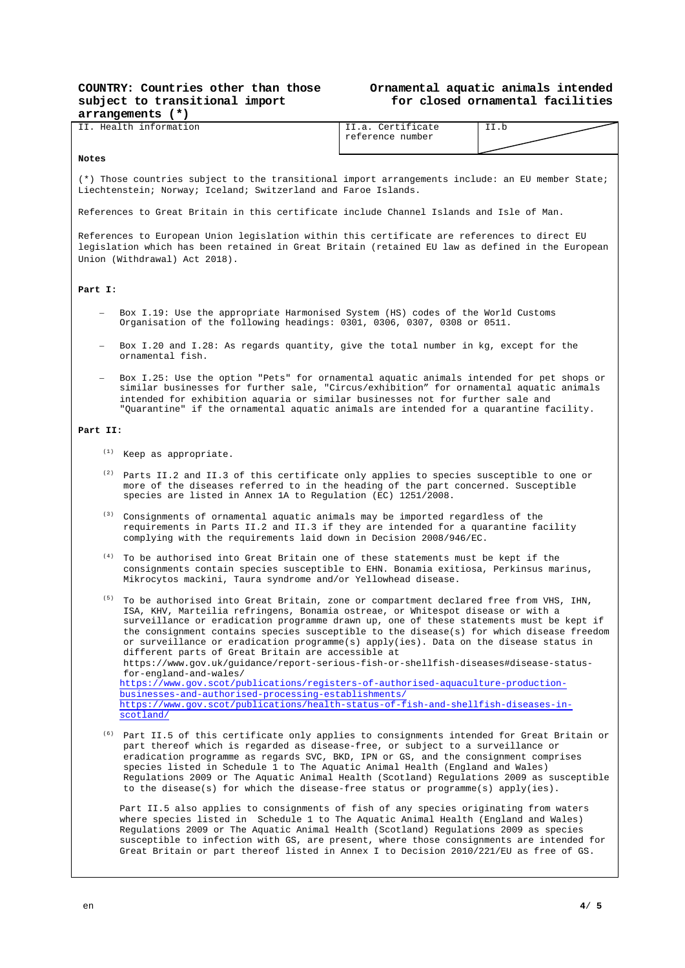#### **Ornamental aquatic animals intended for closed ornamental facilities**

| arrangements (*)       |                                                                                                                                                                                                                                                                                                                                                                                                                                                                                                                                                                                                                                                                                                                                                                                |                                       |      |  |  |  |  |
|------------------------|--------------------------------------------------------------------------------------------------------------------------------------------------------------------------------------------------------------------------------------------------------------------------------------------------------------------------------------------------------------------------------------------------------------------------------------------------------------------------------------------------------------------------------------------------------------------------------------------------------------------------------------------------------------------------------------------------------------------------------------------------------------------------------|---------------------------------------|------|--|--|--|--|
| II. Health information |                                                                                                                                                                                                                                                                                                                                                                                                                                                                                                                                                                                                                                                                                                                                                                                | II.a. Certificate<br>reference number | II.b |  |  |  |  |
| Notes                  |                                                                                                                                                                                                                                                                                                                                                                                                                                                                                                                                                                                                                                                                                                                                                                                |                                       |      |  |  |  |  |
|                        | (*) Those countries subject to the transitional import arrangements include: an EU member State;<br>Liechtenstein; Norway; Iceland; Switzerland and Faroe Islands.                                                                                                                                                                                                                                                                                                                                                                                                                                                                                                                                                                                                             |                                       |      |  |  |  |  |
|                        | References to Great Britain in this certificate include Channel Islands and Isle of Man.                                                                                                                                                                                                                                                                                                                                                                                                                                                                                                                                                                                                                                                                                       |                                       |      |  |  |  |  |
|                        | References to European Union legislation within this certificate are references to direct EU<br>legislation which has been retained in Great Britain (retained EU law as defined in the European<br>Union (Withdrawal) Act 2018).                                                                                                                                                                                                                                                                                                                                                                                                                                                                                                                                              |                                       |      |  |  |  |  |
| Part I:                |                                                                                                                                                                                                                                                                                                                                                                                                                                                                                                                                                                                                                                                                                                                                                                                |                                       |      |  |  |  |  |
|                        | Box I.19: Use the appropriate Harmonised System (HS) codes of the World Customs<br>Organisation of the following headings: 0301, 0306, 0307, 0308 or 0511.                                                                                                                                                                                                                                                                                                                                                                                                                                                                                                                                                                                                                     |                                       |      |  |  |  |  |
|                        | Box I.20 and I.28: As regards quantity, give the total number in kg, except for the<br>ornamental fish.                                                                                                                                                                                                                                                                                                                                                                                                                                                                                                                                                                                                                                                                        |                                       |      |  |  |  |  |
|                        | Box I.25: Use the option "Pets" for ornamental aquatic animals intended for pet shops or<br>similar businesses for further sale, "Circus/exhibition" for ornamental aquatic animals<br>intended for exhibition aquaria or similar businesses not for further sale and<br>"Quarantine" if the ornamental aquatic animals are intended for a quarantine facility.                                                                                                                                                                                                                                                                                                                                                                                                                |                                       |      |  |  |  |  |
| Part II:               |                                                                                                                                                                                                                                                                                                                                                                                                                                                                                                                                                                                                                                                                                                                                                                                |                                       |      |  |  |  |  |
| (1)                    | Keep as appropriate.                                                                                                                                                                                                                                                                                                                                                                                                                                                                                                                                                                                                                                                                                                                                                           |                                       |      |  |  |  |  |
| (2)                    | Parts II.2 and II.3 of this certificate only applies to species susceptible to one or<br>more of the diseases referred to in the heading of the part concerned. Susceptible<br>species are listed in Annex 1A to Regulation (EC) 1251/2008.                                                                                                                                                                                                                                                                                                                                                                                                                                                                                                                                    |                                       |      |  |  |  |  |
| (3)                    | Consignments of ornamental aquatic animals may be imported regardless of the<br>requirements in Parts II.2 and II.3 if they are intended for a quarantine facility<br>complying with the requirements laid down in Decision 2008/946/EC.                                                                                                                                                                                                                                                                                                                                                                                                                                                                                                                                       |                                       |      |  |  |  |  |
| (4)                    | To be authorised into Great Britain one of these statements must be kept if the<br>consignments contain species susceptible to EHN. Bonamia exitiosa, Perkinsus marinus,<br>Mikrocytos mackini, Taura syndrome and/or Yellowhead disease.                                                                                                                                                                                                                                                                                                                                                                                                                                                                                                                                      |                                       |      |  |  |  |  |
| (5)                    | To be authorised into Great Britain, zone or compartment declared free from VHS, IHN,<br>ISA, KHV, Marteilia refringens, Bonamia ostreae, or Whitespot disease or with a<br>surveillance or eradication programme drawn up, one of these statements must be kept if<br>the consignment contains species susceptible to the disease(s) for which disease freedom<br>or surveillance or eradication programme(s) apply(ies). Data on the disease status in<br>different parts of Great Britain are accessible at<br>https://www.gov.uk/guidance/report-serious-fish-or-shellfish-diseases#disease-status-<br>for-england-and-wales/<br>https://www.gov.scot/publications/registers-of-authorised-aquaculture-production-<br>businesses-and-authorised-processing-establishments/ |                                       |      |  |  |  |  |
|                        | https://www.gov.scot/publications/health-status-of-fish-and-shellfish-diseases-in-<br>scotland/                                                                                                                                                                                                                                                                                                                                                                                                                                                                                                                                                                                                                                                                                |                                       |      |  |  |  |  |
| (6)                    | Part II.5 of this certificate only applies to consignments intended for Great Britain or<br>part thereof which is regarded as disease-free, or subject to a surveillance or<br>eradication programme as regards SVC, BKD, IPN or GS, and the consignment comprises<br>species listed in Schedule 1 to The Aquatic Animal Health (England and Wales)<br>Regulations 2009 or The Aquatic Animal Health (Scotland) Regulations 2009 as susceptible<br>to the disease(s) for which the disease-free status or programme(s) apply(ies).                                                                                                                                                                                                                                             |                                       |      |  |  |  |  |
|                        | Part II.5 also applies to consignments of fish of any species originating from waters<br>where species listed in Schedule 1 to The Aquatic Animal Health (England and Wales)<br>Regulations 2009 or The Aquatic Animal Health (Scotland) Regulations 2009 as species                                                                                                                                                                                                                                                                                                                                                                                                                                                                                                           |                                       |      |  |  |  |  |

susceptible to infection with GS, are present, where those consignments are intended for Great Britain or part thereof listed in Annex I to Decision 2010/221/EU as free of GS.